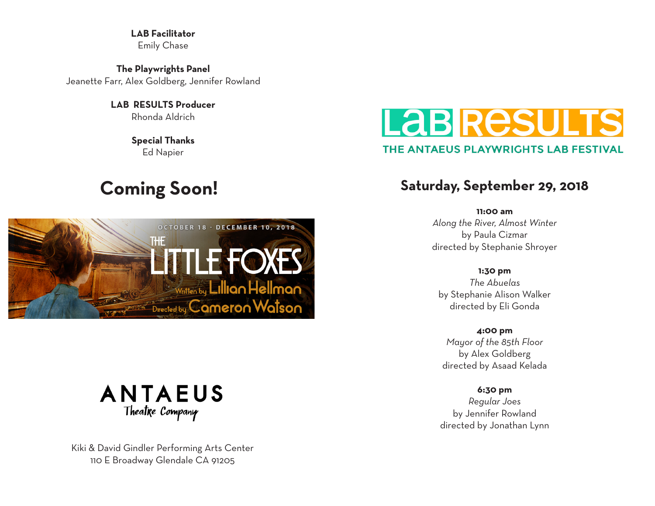**LAB Facilitator** Emily Chase

**The Playwrights Panel** Jeanette Farr, Alex Goldberg, Jennifer Rowland

> **LAB RESULTS Producer** Rhonda Aldrich

> > **Special Thanks** Ed Napier

## **Coming Soon!**





Kiki & David Gindler Performing Arts Center 110 E Broadway Glendale CA 91205

# Labire THE ANTAEUS PLAYWRIGHTS LAB FESTIVAL

### **Saturday, September 29, 2018**

**11:00 am** *Along the River, Almost Winter* by Paula Cizmar directed by Stephanie Shroyer

**1:30 pm** *The Abuelas* by Stephanie Alison Walker directed by Eli Gonda

**4:00 pm** *Mayor of the 85th Floor* by Alex Goldberg directed by Asaad Kelada

**6:30 pm** *Regular Joes* by Jennifer Rowland directed by Jonathan Lynn